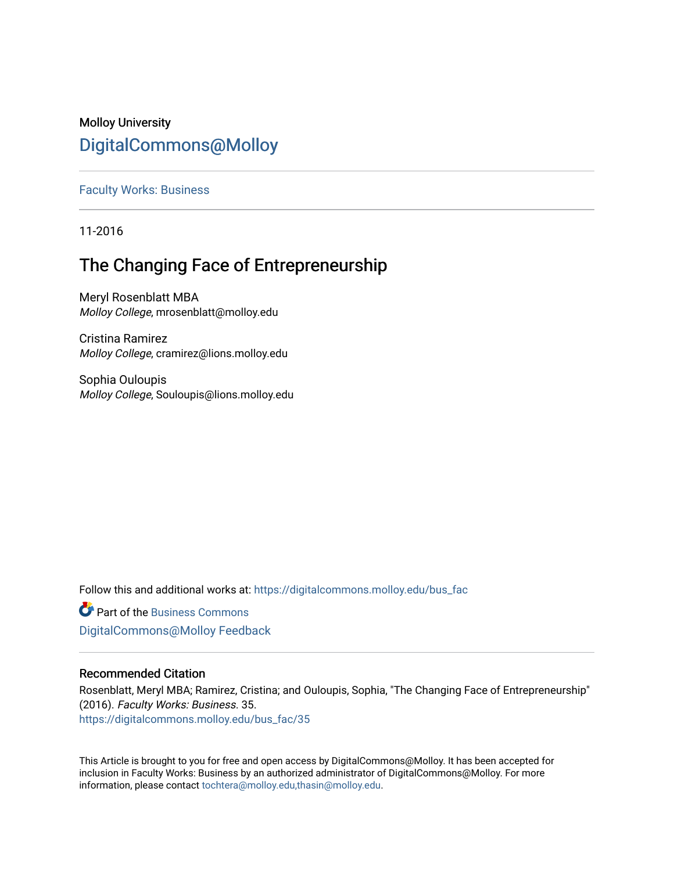# Molloy University [DigitalCommons@Molloy](https://digitalcommons.molloy.edu/)

[Faculty Works: Business](https://digitalcommons.molloy.edu/bus_fac) 

11-2016

# The Changing Face of Entrepreneurship

Meryl Rosenblatt MBA Molloy College, mrosenblatt@molloy.edu

Cristina Ramirez Molloy College, cramirez@lions.molloy.edu

Sophia Ouloupis Molloy College, Souloupis@lions.molloy.edu

Follow this and additional works at: [https://digitalcommons.molloy.edu/bus\\_fac](https://digitalcommons.molloy.edu/bus_fac?utm_source=digitalcommons.molloy.edu%2Fbus_fac%2F35&utm_medium=PDF&utm_campaign=PDFCoverPages)

**C** Part of the [Business Commons](https://network.bepress.com/hgg/discipline/622?utm_source=digitalcommons.molloy.edu%2Fbus_fac%2F35&utm_medium=PDF&utm_campaign=PDFCoverPages) [DigitalCommons@Molloy Feedback](https://molloy.libwizard.com/f/dcfeedback)

### Recommended Citation

Rosenblatt, Meryl MBA; Ramirez, Cristina; and Ouloupis, Sophia, "The Changing Face of Entrepreneurship" (2016). Faculty Works: Business. 35. [https://digitalcommons.molloy.edu/bus\\_fac/35](https://digitalcommons.molloy.edu/bus_fac/35?utm_source=digitalcommons.molloy.edu%2Fbus_fac%2F35&utm_medium=PDF&utm_campaign=PDFCoverPages) 

This Article is brought to you for free and open access by DigitalCommons@Molloy. It has been accepted for inclusion in Faculty Works: Business by an authorized administrator of DigitalCommons@Molloy. For more information, please contact [tochtera@molloy.edu,thasin@molloy.edu.](mailto:tochtera@molloy.edu,thasin@molloy.edu)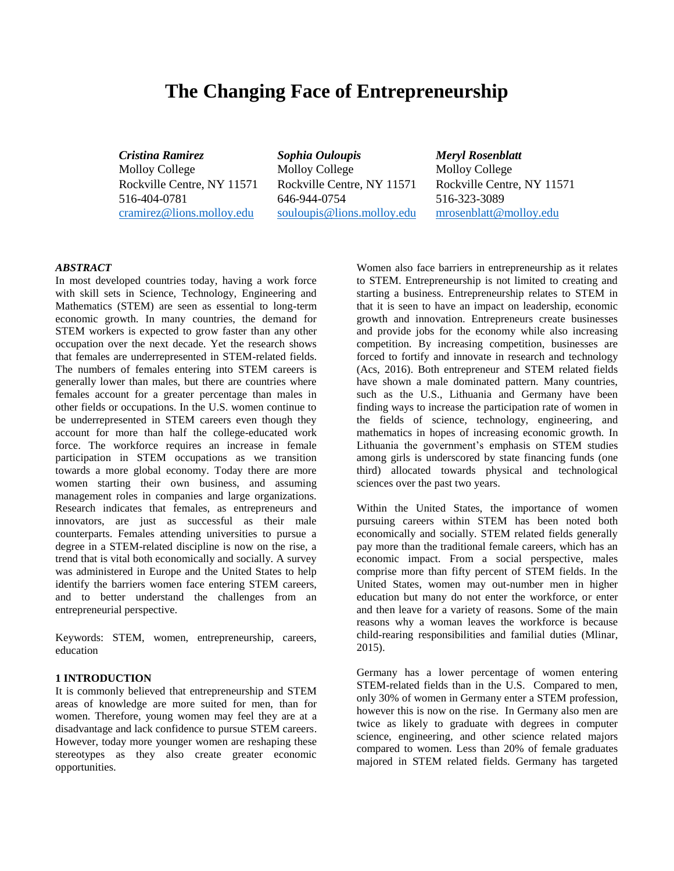## **The Changing Face of Entrepreneurship**

Molloy College Molloy College Molloy College Rockville Centre, NY 11571 Rockville Centre, NY 11571 Rockville Centre, NY 11571 516-404-0781 646-944-0754 516-323-3089 [cramirez@lions.molloy.edu](mailto:cramirez@lions.molloy.edu) [souloupis@lions.molloy.edu](mailto:souloupis@lions.molloy.edu) [mrosenblatt@molloy.edu](mailto:mrosenblatt@molloy.edu)

*Cristina Ramirez Sophia Ouloupis Meryl Rosenblatt*

#### *ABSTRACT*

In most developed countries today, having a work force with skill sets in Science, Technology, Engineering and Mathematics (STEM) are seen as essential to long-term economic growth. In many countries, the demand for STEM workers is expected to grow faster than any other occupation over the next decade. Yet the research shows that females are underrepresented in STEM-related fields. The numbers of females entering into STEM careers is generally lower than males, but there are countries where females account for a greater percentage than males in other fields or occupations. In the U.S. women continue to be underrepresented in STEM careers even though they account for more than half the college-educated work force. The workforce requires an increase in female participation in STEM occupations as we transition towards a more global economy. Today there are more women starting their own business, and assuming management roles in companies and large organizations. Research indicates that females, as entrepreneurs and innovators, are just as successful as their male counterparts. Females attending universities to pursue a degree in a STEM-related discipline is now on the rise, a trend that is vital both economically and socially. A survey was administered in Europe and the United States to help identify the barriers women face entering STEM careers, and to better understand the challenges from an entrepreneurial perspective.

Keywords: STEM, women, entrepreneurship, careers, education

#### **1 INTRODUCTION**

It is commonly believed that entrepreneurship and STEM areas of knowledge are more suited for men, than for women. Therefore, young women may feel they are at a disadvantage and lack confidence to pursue STEM careers. However, today more younger women are reshaping these stereotypes as they also create greater economic opportunities.

Women also face barriers in entrepreneurship as it relates to STEM. Entrepreneurship is not limited to creating and starting a business. Entrepreneurship relates to STEM in that it is seen to have an impact on leadership, economic growth and innovation. Entrepreneurs create businesses and provide jobs for the economy while also increasing competition. By increasing competition, businesses are forced to fortify and innovate in research and technology (Acs, 2016). Both entrepreneur and STEM related fields have shown a male dominated pattern. Many countries, such as the U.S., Lithuania and Germany have been finding ways to increase the participation rate of women in the fields of science, technology, engineering, and mathematics in hopes of increasing economic growth. In Lithuania the government's emphasis on STEM studies among girls is underscored by state financing funds (one third) allocated towards physical and technological sciences over the past two years.

Within the United States, the importance of women pursuing careers within STEM has been noted both economically and socially. STEM related fields generally pay more than the traditional female careers, which has an economic impact. From a social perspective, males comprise more than fifty percent of STEM fields. In the United States, women may out-number men in higher education but many do not enter the workforce, or enter and then leave for a variety of reasons. Some of the main reasons why a woman leaves the workforce is because child-rearing responsibilities and familial duties (Mlinar, 2015).

Germany has a lower percentage of women entering STEM-related fields than in the U.S. Compared to men, only 30% of women in Germany enter a STEM profession, however this is now on the rise. In Germany also men are twice as likely to graduate with degrees in computer science, engineering, and other science related majors compared to women. Less than 20% of female graduates majored in STEM related fields. Germany has targeted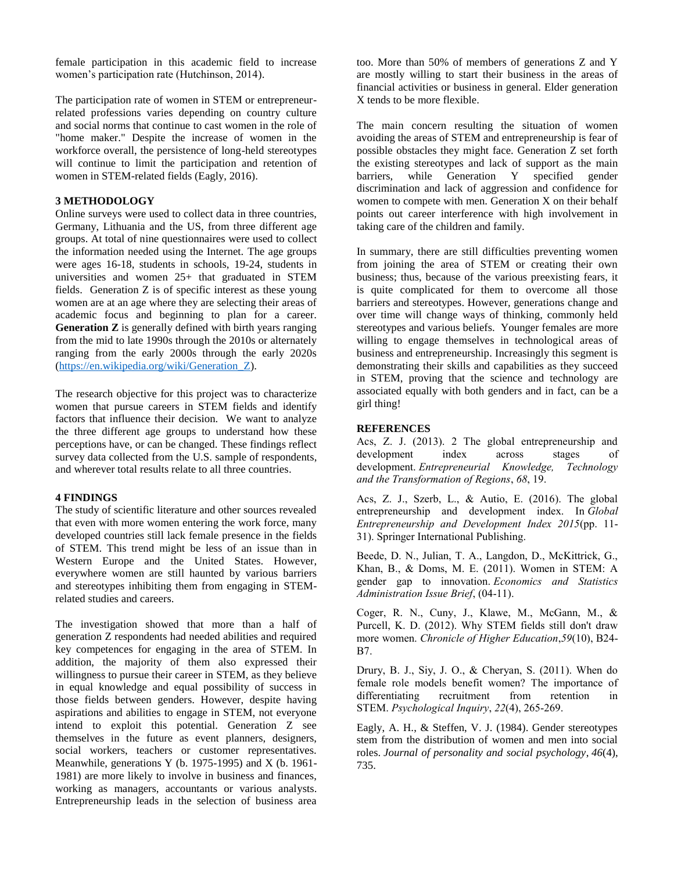female participation in this academic field to increase women's participation rate (Hutchinson, 2014).

The participation rate of women in STEM or entrepreneurrelated professions varies depending on country culture and social norms that continue to cast women in the role of "home maker." Despite the increase of women in the workforce overall, the persistence of long-held stereotypes will continue to limit the participation and retention of women in STEM-related fields (Eagly, 2016).

#### **3 METHODOLOGY**

Online surveys were used to collect data in three countries, Germany, Lithuania and the US, from three different age groups. At total of nine questionnaires were used to collect the information needed using the Internet. The age groups were ages 16-18, students in schools, 19-24, students in universities and women 25+ that graduated in STEM fields. Generation Z is of specific interest as these young women are at an age where they are selecting their areas of academic focus and beginning to plan for a career. **Generation Z** is generally defined with birth years ranging from the mid to late 1990s through the 2010s or alternately ranging from the early 2000s through the early 2020s [\(https://en.wikipedia.org/wiki/Generation\\_Z\)](https://en.wikipedia.org/wiki/Generation_Z).

The research objective for this project was to characterize women that pursue careers in STEM fields and identify factors that influence their decision. We want to analyze the three different age groups to understand how these perceptions have, or can be changed. These findings reflect survey data collected from the U.S. sample of respondents, and wherever total results relate to all three countries.

#### **4 FINDINGS**

The study of scientific literature and other sources revealed that even with more women entering the work force, many developed countries still lack female presence in the fields of STEM. This trend might be less of an issue than in Western Europe and the United States. However, everywhere women are still haunted by various barriers and stereotypes inhibiting them from engaging in STEMrelated studies and careers.

The investigation showed that more than a half of generation Z respondents had needed abilities and required key competences for engaging in the area of STEM. In addition, the majority of them also expressed their willingness to pursue their career in STEM, as they believe in equal knowledge and equal possibility of success in those fields between genders. However, despite having aspirations and abilities to engage in STEM, not everyone intend to exploit this potential. Generation Z see themselves in the future as event planners, designers, social workers, teachers or customer representatives. Meanwhile, generations Y (b. 1975-1995) and X (b. 1961- 1981) are more likely to involve in business and finances, working as managers, accountants or various analysts. Entrepreneurship leads in the selection of business area too. More than 50% of members of generations Z and Y are mostly willing to start their business in the areas of financial activities or business in general. Elder generation X tends to be more flexible.

The main concern resulting the situation of women avoiding the areas of STEM and entrepreneurship is fear of possible obstacles they might face. Generation Z set forth the existing stereotypes and lack of support as the main barriers, while Generation Y specified gender discrimination and lack of aggression and confidence for women to compete with men. Generation X on their behalf points out career interference with high involvement in taking care of the children and family.

In summary, there are still difficulties preventing women from joining the area of STEM or creating their own business; thus, because of the various preexisting fears, it is quite complicated for them to overcome all those barriers and stereotypes. However, generations change and over time will change ways of thinking, commonly held stereotypes and various beliefs. Younger females are more willing to engage themselves in technological areas of business and entrepreneurship. Increasingly this segment is demonstrating their skills and capabilities as they succeed in STEM, proving that the science and technology are associated equally with both genders and in fact, can be a girl thing!

#### **REFERENCES**

Acs, Z. J. (2013). 2 The global entrepreneurship and development index across stages of development. *Entrepreneurial Knowledge, Technology and the Transformation of Regions*, *68*, 19.

Acs, Z. J., Szerb, L., & Autio, E. (2016). The global entrepreneurship and development index. In *Global Entrepreneurship and Development Index 2015*(pp. 11- 31). Springer International Publishing.

Beede, D. N., Julian, T. A., Langdon, D., McKittrick, G., Khan, B., & Doms, M. E. (2011). Women in STEM: A gender gap to innovation. *Economics and Statistics Administration Issue Brief*, (04-11).

Coger, R. N., Cuny, J., Klawe, M., McGann, M., & Purcell, K. D. (2012). Why STEM fields still don't draw more women. *Chronicle of Higher Education*,*59*(10), B24- B7.

Drury, B. J., Siy, J. O., & Cheryan, S. (2011). When do female role models benefit women? The importance of differentiating recruitment from retention in STEM. *Psychological Inquiry*, *22*(4), 265-269.

Eagly, A. H., & Steffen, V. J. (1984). Gender stereotypes stem from the distribution of women and men into social roles. *Journal of personality and social psychology*, *46*(4), 735.